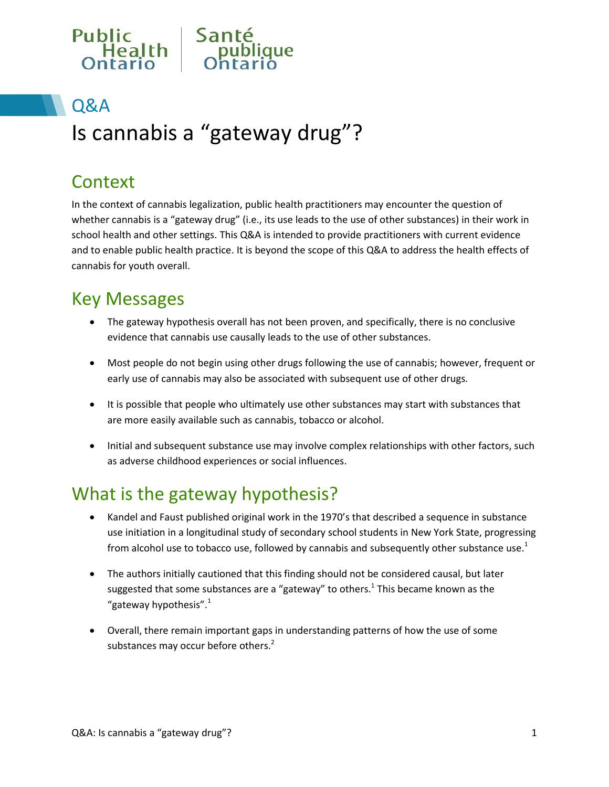

## Q&A

# Is cannabis a "gateway drug"?

### **Context**

In the context of cannabis legalization, public health practitioners may encounter the question of whether cannabis is a "gateway drug" (i.e., its use leads to the use of other substances) in their work in school health and other settings. This Q&A is intended to provide practitioners with current evidence and to enable public health practice. It is beyond the scope of this Q&A to address the health effects of cannabis for youth overall.

## Key Messages

- The gateway hypothesis overall has not been proven, and specifically, there is no conclusive evidence that cannabis use causally leads to the use of other substances.
- Most people do not begin using other drugs following the use of cannabis; however, frequent or early use of cannabis may also be associated with subsequent use of other drugs.
- It is possible that people who ultimately use other substances may start with substances that are more easily available such as cannabis, tobacco or alcohol.
- Initial and subsequent substance use may involve complex relationships with other factors, such as adverse childhood experiences or social influences.

## What is the gateway hypothesis?

- Kandel and Faust published original work in the 1970's that described a sequence in substance use initiation in a longitudinal study of secondary school students in New York State, progressing from alcohol use to tobacco use, followed by cannabis and subsequently other substance use.<sup>1</sup>
- The authors initially cautioned that this finding should not be considered causal, but later suggested that some substances are a "gateway" to others.<sup>1</sup> This became known as the "gateway hypothesis".<sup>1</sup>
- Overall, there remain important gaps in understanding patterns of how the use of some substances may occur before others. $2^2$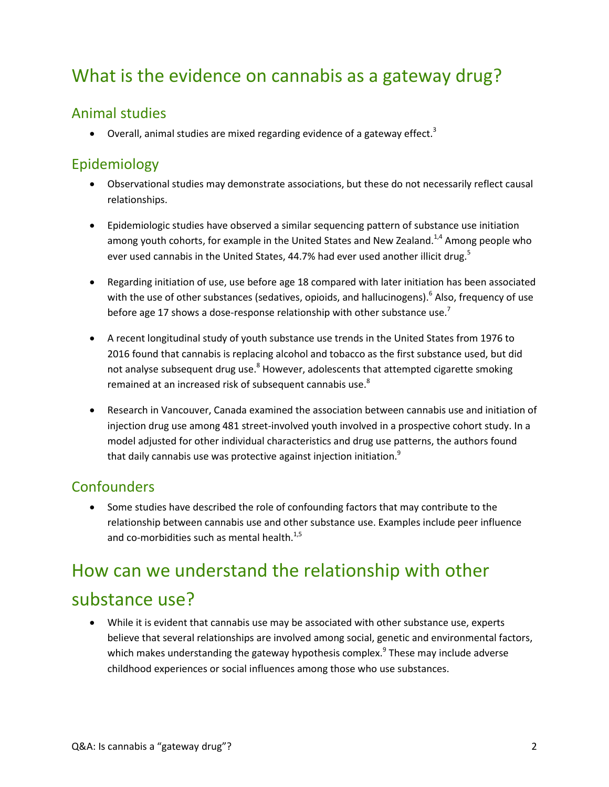## What is the evidence on cannabis as a gateway drug?

#### Animal studies

 $\bullet$  Overall, animal studies are mixed regarding evidence of a gateway effect.<sup>3</sup>

#### Epidemiology

- Observational studies may demonstrate associations, but these do not necessarily reflect causal relationships.
- Epidemiologic studies have observed a similar sequencing pattern of substance use initiation among youth cohorts, for example in the United States and New Zealand.<sup>1,4</sup> Among people who ever used cannabis in the United States, 44.7% had ever used another illicit drug.<sup>5</sup>
- Regarding initiation of use, use before age 18 compared with later initiation has been associated with the use of other substances (sedatives, opioids, and hallucinogens).<sup>6</sup> Also, frequency of use before age 17 shows a dose-response relationship with other substance use.<sup>7</sup>
- A recent longitudinal study of youth substance use trends in the United States from 1976 to 2016 found that cannabis is replacing alcohol and tobacco as the first substance used, but did not analyse subsequent drug use.<sup>8</sup> However, adolescents that attempted cigarette smoking remained at an increased risk of subsequent cannabis use. $8<sup>8</sup>$
- Research in Vancouver, Canada examined the association between cannabis use and initiation of injection drug use among 481 street-involved youth involved in a prospective cohort study. In a model adjusted for other individual characteristics and drug use patterns, the authors found that daily cannabis use was protective against injection initiation.<sup>9</sup>

#### **Confounders**

 Some studies have described the role of confounding factors that may contribute to the relationship between cannabis use and other substance use. Examples include peer influence and co-morbidities such as mental health.<sup>1,5</sup>

## How can we understand the relationship with other substance use?

 While it is evident that cannabis use may be associated with other substance use, experts believe that several relationships are involved among social, genetic and environmental factors, which makes understanding the gateway hypothesis complex.<sup>9</sup> These may include adverse childhood experiences or social influences among those who use substances.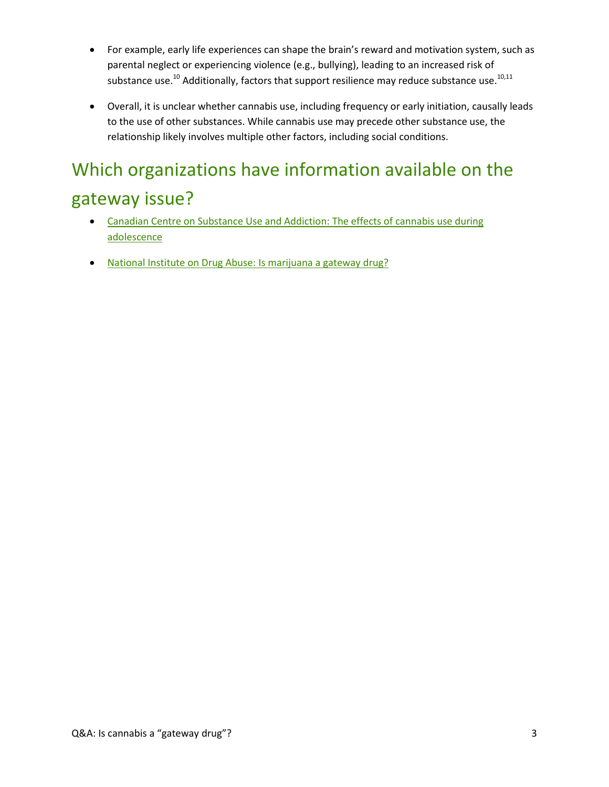- For example, early life experiences can shape the brain's reward and motivation system, such as parental neglect or experiencing violence (e.g., bullying), leading to an increased risk of substance use.<sup>10</sup> Additionally, factors that support resilience may reduce substance use.<sup>10,11</sup>
- Overall, it is unclear whether cannabis use, including frequency or early initiation, causally leads to the use of other substances. While cannabis use may precede other substance use, the relationship likely involves multiple other factors, including social conditions.

## Which organizations have information available on the gateway issue?

- [Canadian Centre on Substance Use and Addiction:](http://www.ccsa.ca/Resource%20Library/CCSA-Effects-of-Cannabis-Use-during-Adolescence-Report-2015-en.pdf) The effects of cannabis use during [adolescence](http://www.ccsa.ca/Resource%20Library/CCSA-Effects-of-Cannabis-Use-during-Adolescence-Report-2015-en.pdf)
- [National Institute on Drug Abuse:](https://www.drugabuse.gov/publications/research-reports/marijuana/marijuana-gateway-drug) Is marijuana a gateway drug?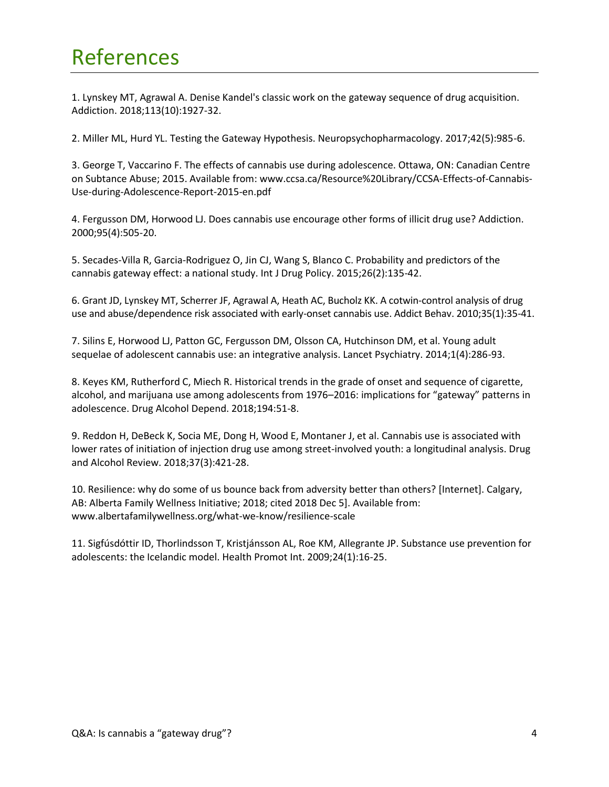## References

1. Lynskey MT, Agrawal A. Denise Kandel's classic work on the gateway sequence of drug acquisition. Addiction. 2018;113(10):1927-32.

2. Miller ML, Hurd YL. Testing the Gateway Hypothesis. Neuropsychopharmacology. 2017;42(5):985-6.

3. George T, Vaccarino F. The effects of cannabis use during adolescence. Ottawa, ON: Canadian Centre on Subtance Abuse; 2015. Available from: www.ccsa.ca/Resource%20Library/CCSA-Effects-of-Cannabis-Use-during-Adolescence-Report-2015-en.pdf

4. Fergusson DM, Horwood LJ. Does cannabis use encourage other forms of illicit drug use? Addiction. 2000;95(4):505-20.

5. Secades-Villa R, Garcia-Rodriguez O, Jin CJ, Wang S, Blanco C. Probability and predictors of the cannabis gateway effect: a national study. Int J Drug Policy. 2015;26(2):135-42.

6. Grant JD, Lynskey MT, Scherrer JF, Agrawal A, Heath AC, Bucholz KK. A cotwin-control analysis of drug use and abuse/dependence risk associated with early-onset cannabis use. Addict Behav. 2010;35(1):35-41.

7. Silins E, Horwood LJ, Patton GC, Fergusson DM, Olsson CA, Hutchinson DM, et al. Young adult sequelae of adolescent cannabis use: an integrative analysis. Lancet Psychiatry. 2014;1(4):286-93.

8. Keyes KM, Rutherford C, Miech R. Historical trends in the grade of onset and sequence of cigarette, alcohol, and marijuana use among adolescents from 1976–2016: implications for "gateway" patterns in adolescence. Drug Alcohol Depend. 2018;194:51-8.

9. Reddon H, DeBeck K, Socia ME, Dong H, Wood E, Montaner J, et al. Cannabis use is associated with lower rates of initiation of injection drug use among street-involved youth: a longitudinal analysis. Drug and Alcohol Review. 2018;37(3):421-28.

10. Resilience: why do some of us bounce back from adversity better than others? [Internet]. Calgary, AB: Alberta Family Wellness Initiative; 2018; cited 2018 Dec 5]. Available from: www.albertafamilywellness.org/what-we-know/resilience-scale

11. Sigfúsdóttir ID, Thorlindsson T, Kristjánsson AL, Roe KM, Allegrante JP. Substance use prevention for adolescents: the Icelandic model. Health Promot Int. 2009;24(1):16-25.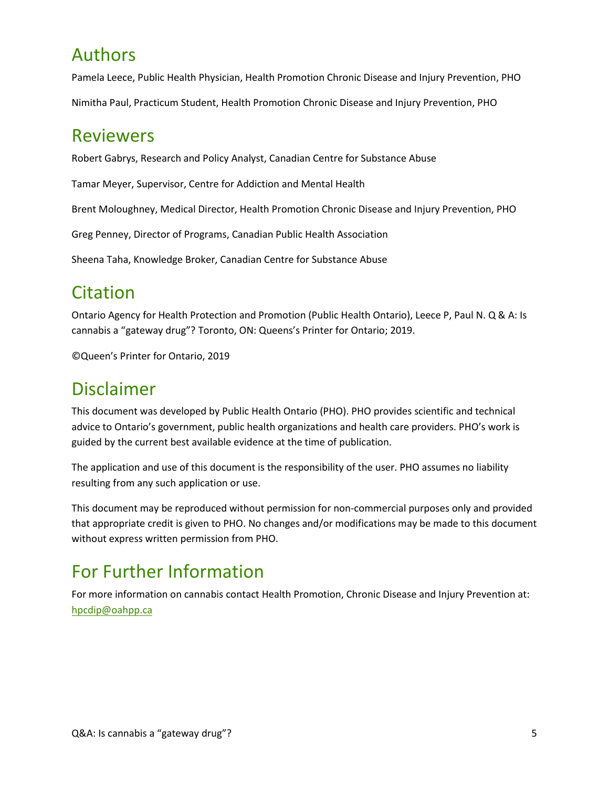### Authors

Pamela Leece, Public Health Physician, Health Promotion Chronic Disease and Injury Prevention, PHO

Nimitha Paul, Practicum Student, Health Promotion Chronic Disease and Injury Prevention, PHO

#### Reviewers

Robert Gabrys, Research and Policy Analyst, Canadian Centre for Substance Abuse

Tamar Meyer, Supervisor, Centre for Addiction and Mental Health

Brent Moloughney, Medical Director, Health Promotion Chronic Disease and Injury Prevention, PHO

Greg Penney, Director of Programs, Canadian Public Health Association

Sheena Taha, Knowledge Broker, Canadian Centre for Substance Abuse

### Citation

Ontario Agency for Health Protection and Promotion (Public Health Ontario), Leece P, Paul N. Q & A: Is cannabis a "gateway drug"? Toronto, ON: Queens's Printer for Ontario; 2019.

©Queen's Printer for Ontario, 2019

### Disclaimer

This document was developed by Public Health Ontario (PHO). PHO provides scientific and technical advice to Ontario's government, public health organizations and health care providers. PHO's work is guided by the current best available evidence at the time of publication.

The application and use of this document is the responsibility of the user. PHO assumes no liability resulting from any such application or use.

This document may be reproduced without permission for non-commercial purposes only and provided that appropriate credit is given to PHO. No changes and/or modifications may be made to this document without express written permission from PHO.

### For Further Information

For more information on cannabis contact Health Promotion, Chronic Disease and Injury Prevention at: [hpcdip@oahpp.ca](mailto:hpcdip@oahpp.ca)